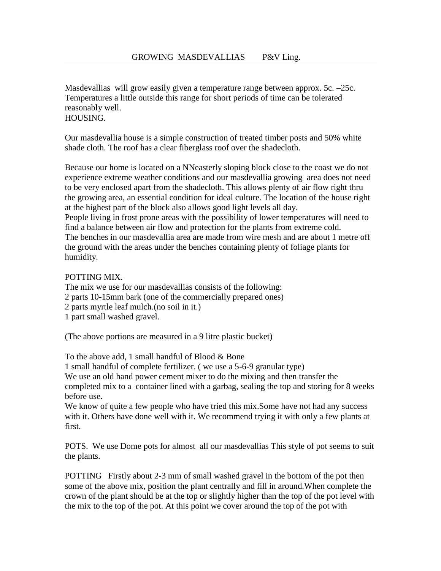Masdevallias will grow easily given a temperature range between approx. 5c. –25c. Temperatures a little outside this range for short periods of time can be tolerated reasonably well. HOUSING.

Our masdevallia house is a simple construction of treated timber posts and 50% white shade cloth. The roof has a clear fiberglass roof over the shadecloth.

Because our home is located on a NNeasterly sloping block close to the coast we do not experience extreme weather conditions and our masdevallia growing area does not need to be very enclosed apart from the shadecloth. This allows plenty of air flow right thru the growing area, an essential condition for ideal culture. The location of the house right at the highest part of the block also allows good light levels all day. People living in frost prone areas with the possibility of lower temperatures will need to find a balance between air flow and protection for the plants from extreme cold. The benches in our masdevallia area are made from wire mesh and are about 1 metre off the ground with the areas under the benches containing plenty of foliage plants for

humidity.

## POTTING MIX.

The mix we use for our masdevallias consists of the following:

- 2 parts 10-15mm bark (one of the commercially prepared ones)
- 2 parts myrtle leaf mulch.(no soil in it.)
- 1 part small washed gravel.

(The above portions are measured in a 9 litre plastic bucket)

To the above add, 1 small handful of Blood & Bone

1 small handful of complete fertilizer. ( we use a 5-6-9 granular type) We use an old hand power cement mixer to do the mixing and then transfer the completed mix to a container lined with a garbag, sealing the top and storing for 8 weeks before use.

We know of quite a few people who have tried this mix. Some have not had any success with it. Others have done well with it. We recommend trying it with only a few plants at first.

POTS. We use Dome pots for almost all our masdevallias This style of pot seems to suit the plants.

POTTING Firstly about 2-3 mm of small washed gravel in the bottom of the pot then some of the above mix, position the plant centrally and fill in around.When complete the crown of the plant should be at the top or slightly higher than the top of the pot level with the mix to the top of the pot. At this point we cover around the top of the pot with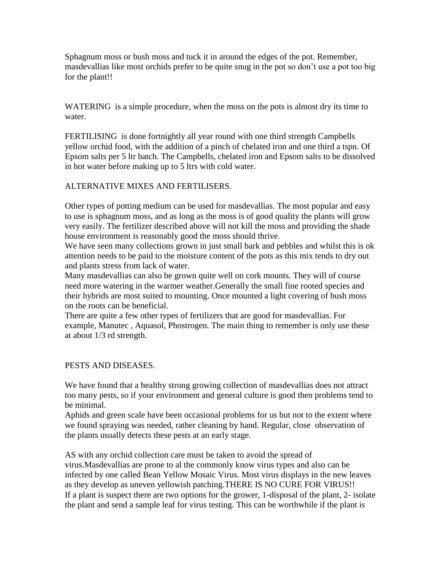Sphagnum moss or bush moss and tuck it in around the edges of the pot. Remember, masdevallias like most orchids prefer to be quite snug in the pot so don't use a pot too big for the plant!!

WATERING is a simple procedure, when the moss on the pots is almost dry its time to water.

FERTILISING is done fortnightly all year round with one third strength Campbells yellow orchid food, with the addition of a pinch of chelated iron and one third a tspn. Of Epsom salts per 5 ltr batch. The Campbells, chelated iron and Epsom salts to be dissolved in hot water before making up to 5 ltrs with cold water.

## ALTERNATIVE MIXES AND FERTILISERS.

Other types of potting medium can be used for masdevallias. The most popular and easy to use is sphagnum moss, and as long as the moss is of good quality the plants will grow very easily. The fertilizer described above will not kill the moss and providing the shade house environment is reasonably good the moss should thrive.

We have seen many collections grown in just small bark and pebbles and whilst this is ok attention needs to be paid to the moisture content of the pots as this mix tends to dry out and plants stress from lack of water.

Many masdevallias can also be grown quite well on cork mounts. They will of course need more watering in the warmer weather.Generally the small fine rooted species and their hybrids are most suited to mounting. Once mounted a light covering of bush moss on the roots can be beneficial.

There are quite a few other types of fertilizers that are good for masdevallias. For example, Manutec , Aquasol, Phostrogen. The main thing to remember is only use these at about 1/3 rd strength.

## PESTS AND DISEASES.

We have found that a healthy strong growing collection of masdevallias does not attract too many pests, so if your environment and general culture is good then problems tend to be minimal.

Aphids and green scale have been occasional problems for us but not to the extent where we found spraying was needed, rather cleaning by hand. Regular, close observation of the plants usually detects these pests at an early stage.

AS with any orchid collection care must be taken to avoid the spread of virus.Masdevallias are prone to al the commonly know virus types and also can be infected by one called Bean Yellow Mosaic Virus. Most virus displays in the new leaves as they develop as uneven yellowish patching.THERE IS NO CURE FOR VIRUS!! If a plant is suspect there are two options for the grower, 1-disposal of the plant, 2- isolate the plant and send a sample leaf for virus testing. This can be worthwhile if the plant is